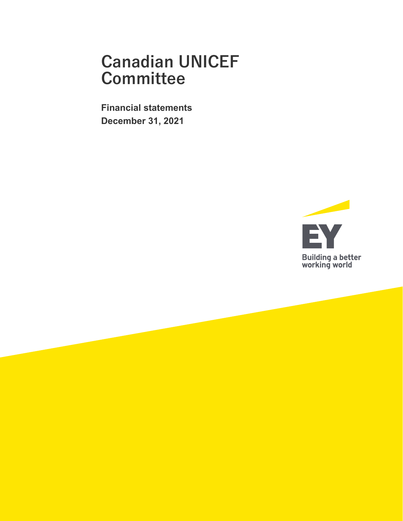**Financial statements December 31, 2021** 

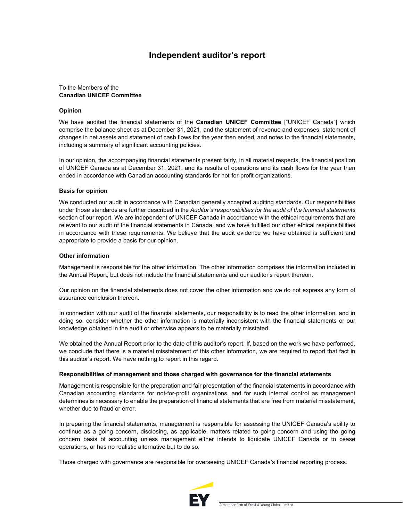### **Independent auditor's report**

#### To the Members of the **Canadian UNICEF Committee**

#### **Opinion**

We have audited the financial statements of the **Canadian UNICEF Committee** ["UNICEF Canada"] which comprise the balance sheet as at December 31, 2021, and the statement of revenue and expenses, statement of changes in net assets and statement of cash flows for the year then ended, and notes to the financial statements, including a summary of significant accounting policies.

In our opinion, the accompanying financial statements present fairly, in all material respects, the financial position of UNICEF Canada as at December 31, 2021, and its results of operations and its cash flows for the year then ended in accordance with Canadian accounting standards for not-for-profit organizations.

#### **Basis for opinion**

We conducted our audit in accordance with Canadian generally accepted auditing standards. Our responsibilities under those standards are further described in the *Auditor's responsibilities for the audit of the financial statements* section of our report. We are independent of UNICEF Canada in accordance with the ethical requirements that are relevant to our audit of the financial statements in Canada, and we have fulfilled our other ethical responsibilities in accordance with these requirements. We believe that the audit evidence we have obtained is sufficient and appropriate to provide a basis for our opinion.

#### **Other information**

Management is responsible for the other information. The other information comprises the information included in the Annual Report, but does not include the financial statements and our auditor's report thereon.

Our opinion on the financial statements does not cover the other information and we do not express any form of assurance conclusion thereon.

In connection with our audit of the financial statements, our responsibility is to read the other information, and in doing so, consider whether the other information is materially inconsistent with the financial statements or our knowledge obtained in the audit or otherwise appears to be materially misstated.

We obtained the Annual Report prior to the date of this auditor's report. If, based on the work we have performed, we conclude that there is a material misstatement of this other information, we are required to report that fact in this auditor's report. We have nothing to report in this regard.

#### **Responsibilities of management and those charged with governance for the financial statements**

Management is responsible for the preparation and fair presentation of the financial statements in accordance with Canadian accounting standards for not-for-profit organizations, and for such internal control as management determines is necessary to enable the preparation of financial statements that are free from material misstatement, whether due to fraud or error.

In preparing the financial statements, management is responsible for assessing the UNICEF Canada's ability to continue as a going concern, disclosing, as applicable, matters related to going concern and using the going concern basis of accounting unless management either intends to liquidate UNICEF Canada or to cease operations, or has no realistic alternative but to do so.

Those charged with governance are responsible for overseeing UNICEF Canada's financial reporting process.

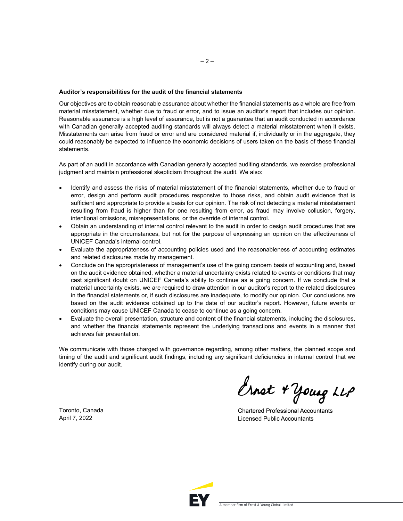#### **Auditor's responsibilities for the audit of the financial statements**

Our objectives are to obtain reasonable assurance about whether the financial statements as a whole are free from material misstatement, whether due to fraud or error, and to issue an auditor's report that includes our opinion. Reasonable assurance is a high level of assurance, but is not a guarantee that an audit conducted in accordance with Canadian generally accepted auditing standards will always detect a material misstatement when it exists. Misstatements can arise from fraud or error and are considered material if, individually or in the aggregate, they could reasonably be expected to influence the economic decisions of users taken on the basis of these financial statements.

As part of an audit in accordance with Canadian generally accepted auditing standards, we exercise professional judgment and maintain professional skepticism throughout the audit. We also:

- Identify and assess the risks of material misstatement of the financial statements, whether due to fraud or error, design and perform audit procedures responsive to those risks, and obtain audit evidence that is sufficient and appropriate to provide a basis for our opinion. The risk of not detecting a material misstatement resulting from fraud is higher than for one resulting from error, as fraud may involve collusion, forgery, intentional omissions, misrepresentations, or the override of internal control.
- Obtain an understanding of internal control relevant to the audit in order to design audit procedures that are appropriate in the circumstances, but not for the purpose of expressing an opinion on the effectiveness of UNICEF Canada's internal control.
- Evaluate the appropriateness of accounting policies used and the reasonableness of accounting estimates and related disclosures made by management.
- Conclude on the appropriateness of management's use of the going concern basis of accounting and, based on the audit evidence obtained, whether a material uncertainty exists related to events or conditions that may cast significant doubt on UNICEF Canada's ability to continue as a going concern. If we conclude that a material uncertainty exists, we are required to draw attention in our auditor's report to the related disclosures in the financial statements or, if such disclosures are inadequate, to modify our opinion. Our conclusions are based on the audit evidence obtained up to the date of our auditor's report. However, future events or conditions may cause UNICEF Canada to cease to continue as a going concern.
- Evaluate the overall presentation, structure and content of the financial statements, including the disclosures, and whether the financial statements represent the underlying transactions and events in a manner that achieves fair presentation.

We communicate with those charged with governance regarding, among other matters, the planned scope and timing of the audit and significant audit findings, including any significant deficiencies in internal control that we identify during our audit.

Crost + young LLP

**Chartered Professional Accountants Licensed Public Accountants** 



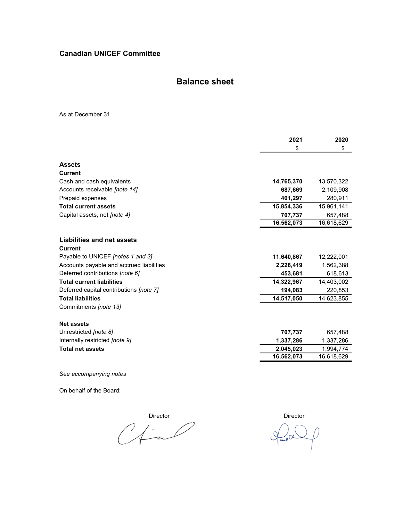### Balance sheet

As at December 31

| 2021<br>\$ | 2020<br>\$           |
|------------|----------------------|
|            |                      |
|            |                      |
| 14,765,370 | 13,570,322           |
| 687,669    | 2,109,908            |
| 401,297    | 280,911              |
| 15,854,336 | 15,961,141           |
| 707,737    | 657,488              |
| 16,562,073 | 16,618,629           |
|            |                      |
|            |                      |
| 11,640,867 | 12,222,001           |
| 2,228,419  | 1,562,388            |
|            | 618,613              |
| 14,322,967 | 14,403,002           |
| 194,083    | 220,853              |
| 14,517,050 | 14,623,855           |
|            |                      |
|            |                      |
| 707,737    | 657,488              |
|            | 1,337,286            |
| 2,045,023  | 1,994,774            |
| 16,562,073 | 16,618,629           |
|            | 453,681<br>1,337,286 |

See accompanying notes

On behalf of the Board:

Director<br>Critical Director<br>Critical Director

 $L_{\infty}$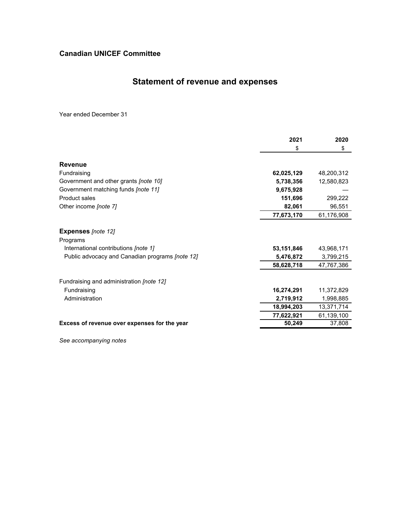# **Statement of revenue and expenses**

Year ended December 31

|                                                 | 2021       | 2020       |
|-------------------------------------------------|------------|------------|
|                                                 | \$         | \$         |
| <b>Revenue</b>                                  |            |            |
| Fundraising                                     | 62,025,129 | 48,200,312 |
| Government and other grants [note 10]           | 5,738,356  | 12,580,823 |
| Government matching funds <i>[note 11]</i>      | 9,675,928  |            |
| Product sales                                   | 151,696    | 299,222    |
| Other income [note 7]                           | 82,061     | 96,551     |
|                                                 | 77,673,170 | 61,176,908 |
| <b>Expenses</b> [note 12]                       |            |            |
| Programs                                        |            |            |
| International contributions [note 1]            | 53,151,846 | 43,968,171 |
| Public advocacy and Canadian programs [note 12] | 5,476,872  | 3,799,215  |
|                                                 | 58,628,718 | 47,767,386 |
| Fundraising and administration [note 12]        |            |            |
| Fundraising                                     | 16,274,291 | 11,372,829 |
| Administration                                  | 2,719,912  | 1,998,885  |
|                                                 | 18,994,203 | 13,371,714 |
|                                                 | 77,622,921 | 61,139,100 |
| Excess of revenue over expenses for the year    | 50,249     | 37,808     |
|                                                 |            |            |

*See accompanying notes*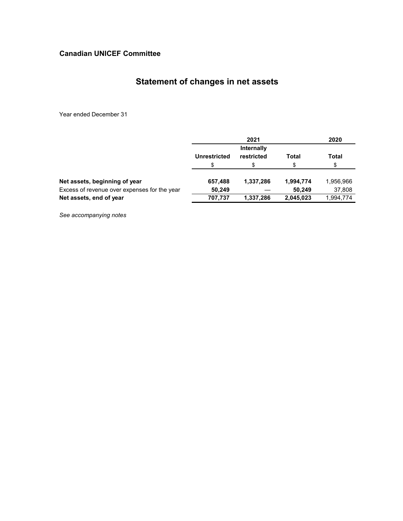# **Statement of changes in net assets**

Year ended December 31

|                                              |                     | 2021       |           | 2020      |
|----------------------------------------------|---------------------|------------|-----------|-----------|
|                                              |                     | Internally |           |           |
|                                              | <b>Unrestricted</b> | restricted | Total     | Total     |
|                                              | \$                  | \$         | \$        | \$        |
| Net assets, beginning of year                | 657,488             | 1,337,286  | 1,994,774 | 1,956,966 |
| Excess of revenue over expenses for the year | 50,249              |            | 50.249    | 37,808    |
| Net assets, end of year                      | 707,737             | 1,337,286  | 2,045,023 | 1,994,774 |

*See accompanying notes*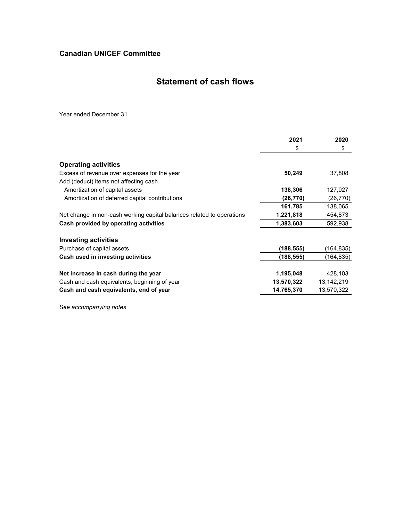## **Statement of cash flows**

Year ended December 31

|                                                                       | 2021       | 2020       |
|-----------------------------------------------------------------------|------------|------------|
|                                                                       | S          | \$         |
| <b>Operating activities</b>                                           |            |            |
| Excess of revenue over expenses for the year                          | 50,249     | 37,808     |
| Add (deduct) items not affecting cash                                 |            |            |
| Amortization of capital assets                                        | 138,306    | 127,027    |
| Amortization of deferred capital contributions                        | (26, 770)  | (26, 770)  |
|                                                                       | 161,785    | 138,065    |
| Net change in non-cash working capital balances related to operations | 1,221,818  | 454,873    |
| Cash provided by operating activities                                 | 1,383,603  | 592,938    |
| <b>Investing activities</b>                                           |            |            |
| Purchase of capital assets                                            | (188,555)  | (164,835)  |
| Cash used in investing activities                                     | (188,555)  | (164,835)  |
| Net increase in cash during the year                                  | 1,195,048  | 428,103    |
| Cash and cash equivalents, beginning of year                          | 13,570,322 | 13,142,219 |
| Cash and cash equivalents, end of year                                | 14,765,370 | 13,570,322 |
|                                                                       |            |            |

*See accompanying notes*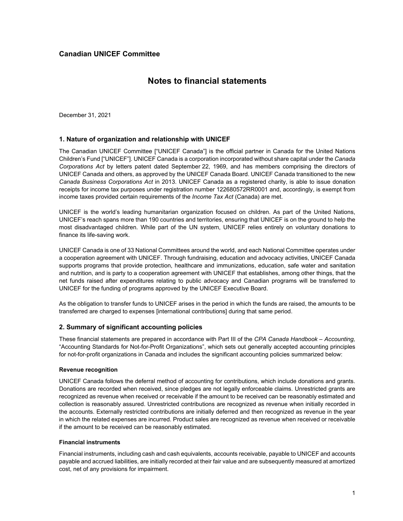### **Notes to financial statements**

December 31, 2021

#### **1. Nature of organization and relationship with UNICEF**

The Canadian UNICEF Committee ["UNICEF Canada"] is the official partner in Canada for the United Nations Children's Fund ["UNICEF"]. UNICEF Canada is a corporation incorporated without share capital under the *Canada Corporations Act* by letters patent dated September 22, 1969, and has members comprising the directors of UNICEF Canada and others, as approved by the UNICEF Canada Board. UNICEF Canada transitioned to the new *Canada Business Corporations Act* in 2013. UNICEF Canada as a registered charity, is able to issue donation receipts for income tax purposes under registration number 122680572RR0001 and, accordingly, is exempt from income taxes provided certain requirements of the *Income Tax Act* (Canada) are met.

UNICEF is the world's leading humanitarian organization focused on children. As part of the United Nations, UNICEF's reach spans more than 190 countries and territories, ensuring that UNICEF is on the ground to help the most disadvantaged children. While part of the UN system, UNICEF relies entirely on voluntary donations to finance its life-saving work.

UNICEF Canada is one of 33 National Committees around the world, and each National Committee operates under a cooperation agreement with UNICEF. Through fundraising, education and advocacy activities, UNICEF Canada supports programs that provide protection, healthcare and immunizations, education, safe water and sanitation and nutrition, and is party to a cooperation agreement with UNICEF that establishes, among other things, that the net funds raised after expenditures relating to public advocacy and Canadian programs will be transferred to UNICEF for the funding of programs approved by the UNICEF Executive Board.

As the obligation to transfer funds to UNICEF arises in the period in which the funds are raised, the amounts to be transferred are charged to expenses [international contributions] during that same period.

#### **2. Summary of significant accounting policies**

These financial statements are prepared in accordance with Part III of the *CPA Canada Handbook – Accounting,*  "Accounting Standards for Not-for-Profit Organizations", which sets out generally accepted accounting principles for not-for-profit organizations in Canada and includes the significant accounting policies summarized below:

#### **Revenue recognition**

UNICEF Canada follows the deferral method of accounting for contributions, which include donations and grants. Donations are recorded when received, since pledges are not legally enforceable claims. Unrestricted grants are recognized as revenue when received or receivable if the amount to be received can be reasonably estimated and collection is reasonably assured. Unrestricted contributions are recognized as revenue when initially recorded in the accounts. Externally restricted contributions are initially deferred and then recognized as revenue in the year in which the related expenses are incurred. Product sales are recognized as revenue when received or receivable if the amount to be received can be reasonably estimated.

#### **Financial instruments**

Financial instruments, including cash and cash equivalents, accounts receivable, payable to UNICEF and accounts payable and accrued liabilities, are initially recorded at their fair value and are subsequently measured at amortized cost, net of any provisions for impairment.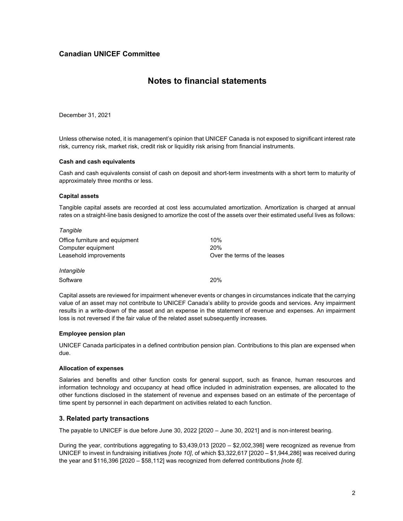### **Notes to financial statements**

December 31, 2021

Unless otherwise noted, it is management's opinion that UNICEF Canada is not exposed to significant interest rate risk, currency risk, market risk, credit risk or liquidity risk arising from financial instruments.

#### **Cash and cash equivalents**

Cash and cash equivalents consist of cash on deposit and short-term investments with a short term to maturity of approximately three months or less.

#### **Capital assets**

*Tangible*

Tangible capital assets are recorded at cost less accumulated amortization. Amortization is charged at annual rates on a straight-line basis designed to amortize the cost of the assets over their estimated useful lives as follows:

| <i>Langible</i>                |                              |
|--------------------------------|------------------------------|
| Office furniture and equipment | 10%                          |
| Computer equipment             | 20%                          |
| Leasehold improvements         | Over the terms of the leases |
| Intangible                     |                              |
| Software                       | 20%                          |

Capital assets are reviewed for impairment whenever events or changes in circumstances indicate that the carrying value of an asset may not contribute to UNICEF Canada's ability to provide goods and services. Any impairment results in a write-down of the asset and an expense in the statement of revenue and expenses. An impairment loss is not reversed if the fair value of the related asset subsequently increases.

#### **Employee pension plan**

UNICEF Canada participates in a defined contribution pension plan. Contributions to this plan are expensed when due.

#### **Allocation of expenses**

Salaries and benefits and other function costs for general support, such as finance, human resources and information technology and occupancy at head office included in administration expenses, are allocated to the other functions disclosed in the statement of revenue and expenses based on an estimate of the percentage of time spent by personnel in each department on activities related to each function.

#### **3. Related party transactions**

The payable to UNICEF is due before June 30, 2022 [2020 – June 30, 2021] and is non-interest bearing.

During the year, contributions aggregating to \$3,439,013 [2020 – \$2,002,398] were recognized as revenue from UNICEF to invest in fundraising initiatives *[note 10]*, of which \$3,322,617 [2020 – \$1,944,286] was received during the year and \$116,396 [2020 – \$58,112] was recognized from deferred contributions *[note 6]*.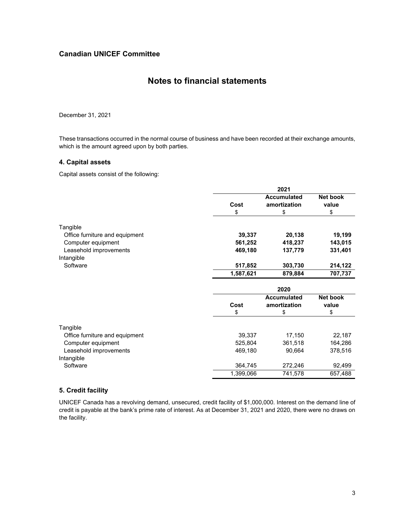### **Notes to financial statements**

#### December 31, 2021

These transactions occurred in the normal course of business and have been recorded at their exchange amounts, which is the amount agreed upon by both parties.

#### **4. Capital assets**

Capital assets consist of the following:

|                                |           | 2021                               |                   |
|--------------------------------|-----------|------------------------------------|-------------------|
|                                | Cost      | <b>Accumulated</b><br>amortization | Net book<br>value |
|                                | \$        | \$                                 | \$                |
| Tangible                       |           |                                    |                   |
| Office furniture and equipment | 39,337    | 20,138                             | 19,199            |
| Computer equipment             | 561,252   | 418,237                            | 143,015           |
| Leasehold improvements         | 469,180   | 137,779                            | 331,401           |
| Intangible                     |           |                                    |                   |
| Software                       | 517,852   | 303,730                            | 214,122           |
|                                | 1,587,621 | 879,884                            | 707,737           |
|                                |           | 2020                               |                   |
|                                | Cost      | <b>Accumulated</b><br>amortization | Net book<br>value |
|                                | \$        | \$                                 | \$                |
| Tangible                       |           |                                    |                   |
| Office furniture and equipment | 39,337    | 17,150                             | 22,187            |
| Computer equipment             | 525,804   | 361,518                            | 164,286           |
| Leasehold improvements         | 469,180   | 90,664                             | 378,516           |
| Intangible                     |           |                                    |                   |
| Software                       | 364,745   | 272,246                            | 92,499            |
|                                | 1,399,066 | 741,578                            | 657,488           |

#### **5. Credit facility**

UNICEF Canada has a revolving demand, unsecured, credit facility of \$1,000,000. Interest on the demand line of credit is payable at the bank's prime rate of interest. As at December 31, 2021 and 2020, there were no draws on the facility.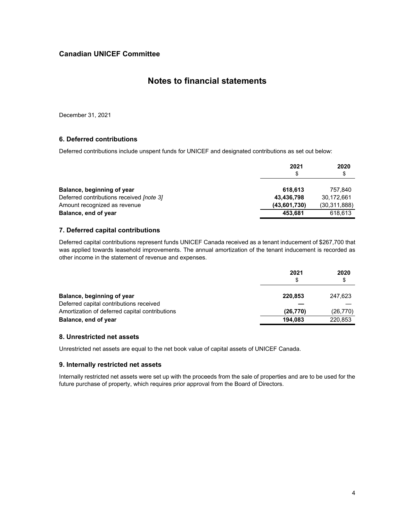### **Notes to financial statements**

December 31, 2021

#### **6. Deferred contributions**

Deferred contributions include unspent funds for UNICEF and designated contributions as set out below:

|                                                 | 2021<br>S    | 2020<br>\$     |
|-------------------------------------------------|--------------|----------------|
| Balance, beginning of year                      | 618.613      | 757.840        |
| Deferred contributions received <i>Inote 31</i> | 43,436,798   | 30.172.661     |
| Amount recognized as revenue                    | (43,601,730) | (30, 311, 888) |
| Balance, end of year                            | 453.681      | 618,613        |

#### **7. Deferred capital contributions**

Deferred capital contributions represent funds UNICEF Canada received as a tenant inducement of \$267,700 that was applied towards leasehold improvements. The annual amortization of the tenant inducement is recorded as other income in the statement of revenue and expenses.

|                                                | 2021<br>\$ | 2020<br>\$ |
|------------------------------------------------|------------|------------|
| Balance, beginning of year                     | 220,853    | 247,623    |
| Deferred capital contributions received        |            |            |
| Amortization of deferred capital contributions | (26, 770)  | (26, 770)  |
| Balance, end of year                           | 194.083    | 220,853    |

#### **8. Unrestricted net assets**

Unrestricted net assets are equal to the net book value of capital assets of UNICEF Canada.

#### **9. Internally restricted net assets**

Internally restricted net assets were set up with the proceeds from the sale of properties and are to be used for the future purchase of property, which requires prior approval from the Board of Directors.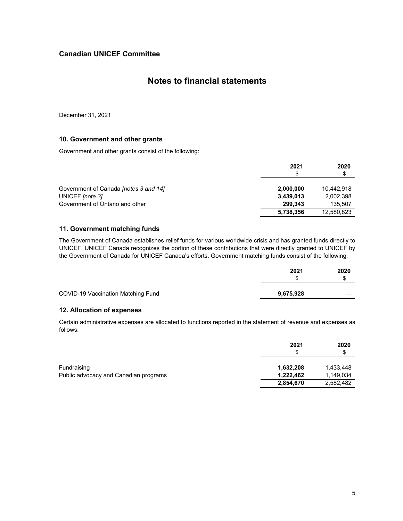### **Notes to financial statements**

December 31, 2021

#### **10. Government and other grants**

Government and other grants consist of the following:

|                                              | 2021<br>S | 2020<br>\$ |
|----------------------------------------------|-----------|------------|
| Government of Canada <i>Inotes</i> 3 and 141 | 2,000,000 | 10.442.918 |
| UNICEF <i>[note 3]</i>                       | 3,439,013 | 2,002,398  |
| Government of Ontario and other              | 299.343   | 135.507    |
|                                              | 5,738,356 | 12,580,823 |

#### **11. Government matching funds**

The Government of Canada establishes relief funds for various worldwide crisis and has granted funds directly to UNICEF. UNICEF Canada recognizes the portion of these contributions that were directly granted to UNICEF by the Government of Canada for UNICEF Canada's efforts. Government matching funds consist of the following:

|                                    | 2021      | 2020<br>\$ |
|------------------------------------|-----------|------------|
| COVID-19 Vaccination Matching Fund | 9,675,928 |            |

#### **12. Allocation of expenses**

Certain administrative expenses are allocated to functions reported in the statement of revenue and expenses as follows:

|                                       | 2021<br>\$ | 2020<br>S |
|---------------------------------------|------------|-----------|
| Fundraising                           | 1,632,208  | 1,433,448 |
| Public advocacy and Canadian programs | 1,222,462  | 1,149,034 |
|                                       | 2,854,670  | 2,582,482 |